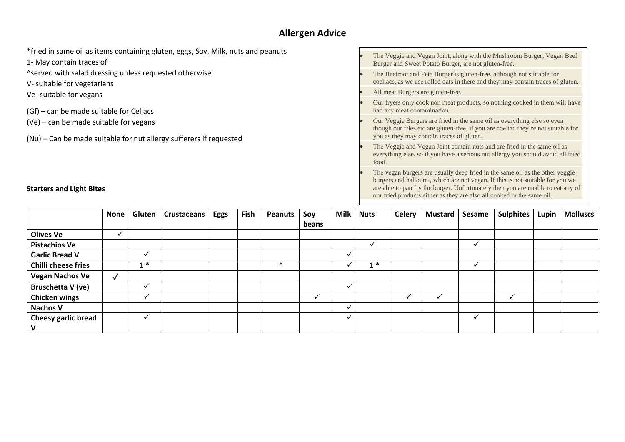# **Allergen Advice**

| *fried in same oil as items containing gluten, eggs, Soy, Milk, nuts and peanuts<br>1- May contain traces of | The Veggie and Vegan Joint, along with the Mushroom Burger, Vegan Beef<br>Burger and Sweet Potato Burger, are not gluten-free.                                                                                                                   |
|--------------------------------------------------------------------------------------------------------------|--------------------------------------------------------------------------------------------------------------------------------------------------------------------------------------------------------------------------------------------------|
| ^served with salad dressing unless requested otherwise<br>V- suitable for vegetarians                        | The Beetroot and Feta Burger is gluten-free, although not suitable for<br>coeliacs, as we use rolled oats in there and they may contain traces of gluten.                                                                                        |
| Ve- suitable for vegans                                                                                      | All meat Burgers are gluten-free.                                                                                                                                                                                                                |
| (Gf) – can be made suitable for Celiacs                                                                      | Our fryers only cook non meat products, so nothing cooked in them will have<br>had any meat contamination.                                                                                                                                       |
| (Ve) - can be made suitable for vegans                                                                       | Our Veggie Burgers are fried in the same oil as everything else so even<br>though our fries etc are gluten-free, if you are coeliac they're not suitable for<br>you as they may contain traces of gluten.                                        |
| (Nu) – Can be made suitable for nut allergy sufferers if requested                                           | The Veggie and Vegan Joint contain nuts and are fried in the same oil as<br>everything else, so if you have a serious nut allergy you should avoid all fried<br>food.                                                                            |
| <b>Starters and Light Bites</b>                                                                              | The vegan burgers are usually deep fried in the same oil as the other veggie<br>burgers and halloumi, which are not vegan. If this is not suitable for you we<br>are able to pan fry the burger. Unfortunately then you are unable to eat any of |

|                            | <b>None</b>  | Gluten       | <b>Crustaceans</b> | Eggs | Fish | <b>Peanuts</b> | Soy   | Milk | <b>Nuts</b> | <b>Celery</b> | <b>Mustard</b> | Sesame | <b>Sulphites</b> | Lupin | <b>Molluscs</b> |
|----------------------------|--------------|--------------|--------------------|------|------|----------------|-------|------|-------------|---------------|----------------|--------|------------------|-------|-----------------|
|                            |              |              |                    |      |      |                | beans |      |             |               |                |        |                  |       |                 |
| <b>Olives Ve</b>           |              |              |                    |      |      |                |       |      |             |               |                |        |                  |       |                 |
| <b>Pistachios Ve</b>       |              |              |                    |      |      |                |       |      |             |               |                |        |                  |       |                 |
| <b>Garlic Bread V</b>      |              | ✓            |                    |      |      |                |       |      |             |               |                |        |                  |       |                 |
| <b>Chilli cheese fries</b> |              | $1 *$        |                    |      |      | $\ast$         |       |      | $1 *$       |               |                |        |                  |       |                 |
| <b>Vegan Nachos Ve</b>     | $\checkmark$ |              |                    |      |      |                |       |      |             |               |                |        |                  |       |                 |
| Bruschetta V (ve)          |              | ✔            |                    |      |      |                |       | ✔    |             |               |                |        |                  |       |                 |
| <b>Chicken wings</b>       |              | ✔            |                    |      |      |                |       |      |             |               |                |        |                  |       |                 |
| <b>Nachos V</b>            |              |              |                    |      |      |                |       |      |             |               |                |        |                  |       |                 |
| <b>Cheesy garlic bread</b> |              | $\checkmark$ |                    |      |      |                |       | ✓    |             |               |                |        |                  |       |                 |
| - V                        |              |              |                    |      |      |                |       |      |             |               |                |        |                  |       |                 |

our fried products either as they are also all cooked in the same oil.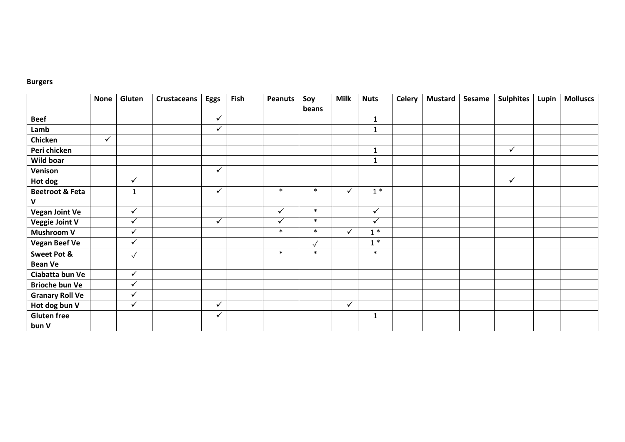#### **Burgers**

|                            | <b>None</b> | Gluten       | <b>Crustaceans</b> | <b>Eggs</b>  | Fish | <b>Peanuts</b> | Soy       | <b>Milk</b>  | <b>Nuts</b>  | <b>Celery</b> | <b>Mustard</b> | Sesame | <b>Sulphites</b> | Lupin | <b>Molluscs</b> |
|----------------------------|-------------|--------------|--------------------|--------------|------|----------------|-----------|--------------|--------------|---------------|----------------|--------|------------------|-------|-----------------|
|                            |             |              |                    |              |      |                | beans     |              |              |               |                |        |                  |       |                 |
| <b>Beef</b>                |             |              |                    | $\checkmark$ |      |                |           |              | $\mathbf{1}$ |               |                |        |                  |       |                 |
| Lamb                       |             |              |                    | $\checkmark$ |      |                |           |              | $\mathbf{1}$ |               |                |        |                  |       |                 |
| Chicken                    | ✓           |              |                    |              |      |                |           |              |              |               |                |        |                  |       |                 |
| Peri chicken               |             |              |                    |              |      |                |           |              | $\mathbf{1}$ |               |                |        | $\checkmark$     |       |                 |
| Wild boar                  |             |              |                    |              |      |                |           |              | $\mathbf{1}$ |               |                |        |                  |       |                 |
| Venison                    |             |              |                    | $\checkmark$ |      |                |           |              |              |               |                |        |                  |       |                 |
| Hot dog                    |             | $\checkmark$ |                    |              |      |                |           |              |              |               |                |        | $\checkmark$     |       |                 |
| <b>Beetroot &amp; Feta</b> |             | $\mathbf{1}$ |                    | $\checkmark$ |      | $\ast$         | $\ast$    | $\checkmark$ | $1*$         |               |                |        |                  |       |                 |
| V                          |             |              |                    |              |      |                |           |              |              |               |                |        |                  |       |                 |
| <b>Vegan Joint Ve</b>      |             | $\checkmark$ |                    |              |      | $\checkmark$   | $\ast$    |              | $\checkmark$ |               |                |        |                  |       |                 |
| <b>Veggie Joint V</b>      |             | $\checkmark$ |                    | ✓            |      | $\checkmark$   | $\ast$    |              | $\checkmark$ |               |                |        |                  |       |                 |
| <b>Mushroom V</b>          |             | $\checkmark$ |                    |              |      | $\ast$         | $\ast$    | $\checkmark$ | $1*$         |               |                |        |                  |       |                 |
| <b>Vegan Beef Ve</b>       |             | $\checkmark$ |                    |              |      |                | $\sqrt{}$ |              | $1*$         |               |                |        |                  |       |                 |
| <b>Sweet Pot &amp;</b>     |             | $\checkmark$ |                    |              |      | $\ast$         | $\ast$    |              | $\ast$       |               |                |        |                  |       |                 |
| <b>Bean Ve</b>             |             |              |                    |              |      |                |           |              |              |               |                |        |                  |       |                 |
| Ciabatta bun Ve            |             | $\checkmark$ |                    |              |      |                |           |              |              |               |                |        |                  |       |                 |
| <b>Brioche bun Ve</b>      |             | $\sqrt{}$    |                    |              |      |                |           |              |              |               |                |        |                  |       |                 |
| <b>Granary Roll Ve</b>     |             | $\checkmark$ |                    |              |      |                |           |              |              |               |                |        |                  |       |                 |
| Hot dog bun V              |             | $\checkmark$ |                    | $\checkmark$ |      |                |           | $\checkmark$ |              |               |                |        |                  |       |                 |
| <b>Gluten free</b>         |             |              |                    | $\checkmark$ |      |                |           |              | 1            |               |                |        |                  |       |                 |
| bun V                      |             |              |                    |              |      |                |           |              |              |               |                |        |                  |       |                 |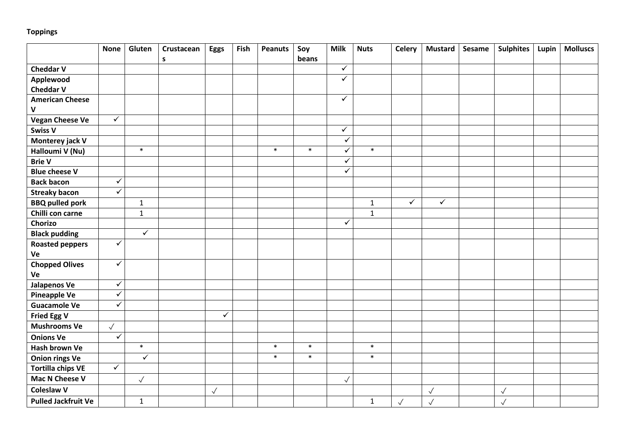## **Toppings**

|                            | <b>None</b>             | Gluten       | Crustacean<br>$\mathsf{s}$ | <b>Eggs</b>  | Fish | <b>Peanuts</b> | Soy<br>beans | <b>Milk</b>  | <b>Nuts</b>  | <b>Celery</b> | <b>Mustard</b> | Sesame | <b>Sulphites</b> | Lupin | <b>Molluscs</b> |
|----------------------------|-------------------------|--------------|----------------------------|--------------|------|----------------|--------------|--------------|--------------|---------------|----------------|--------|------------------|-------|-----------------|
| <b>Cheddar V</b>           |                         |              |                            |              |      |                |              | $\checkmark$ |              |               |                |        |                  |       |                 |
| Applewood                  |                         |              |                            |              |      |                |              | $\checkmark$ |              |               |                |        |                  |       |                 |
| <b>Cheddar V</b>           |                         |              |                            |              |      |                |              |              |              |               |                |        |                  |       |                 |
| <b>American Cheese</b>     |                         |              |                            |              |      |                |              | $\checkmark$ |              |               |                |        |                  |       |                 |
| V                          |                         |              |                            |              |      |                |              |              |              |               |                |        |                  |       |                 |
| <b>Vegan Cheese Ve</b>     | $\checkmark$            |              |                            |              |      |                |              |              |              |               |                |        |                  |       |                 |
| <b>Swiss V</b>             |                         |              |                            |              |      |                |              | $\checkmark$ |              |               |                |        |                  |       |                 |
| Monterey jack V            |                         |              |                            |              |      |                |              | $\checkmark$ |              |               |                |        |                  |       |                 |
| Halloumi V (Nu)            |                         | $\ast$       |                            |              |      | $\ast$         | $\ast$       | ✓            | $\ast$       |               |                |        |                  |       |                 |
| <b>Brie V</b>              |                         |              |                            |              |      |                |              | $\checkmark$ |              |               |                |        |                  |       |                 |
| <b>Blue cheese V</b>       |                         |              |                            |              |      |                |              | $\checkmark$ |              |               |                |        |                  |       |                 |
| <b>Back bacon</b>          | $\checkmark$            |              |                            |              |      |                |              |              |              |               |                |        |                  |       |                 |
| <b>Streaky bacon</b>       | $\checkmark$            |              |                            |              |      |                |              |              |              |               |                |        |                  |       |                 |
| <b>BBQ pulled pork</b>     |                         | $\mathbf{1}$ |                            |              |      |                |              |              | $1\,$        | $\checkmark$  | $\sqrt{}$      |        |                  |       |                 |
| Chilli con carne           |                         | $\mathbf{1}$ |                            |              |      |                |              |              | $\mathbf{1}$ |               |                |        |                  |       |                 |
| Chorizo                    |                         |              |                            |              |      |                |              | ✓            |              |               |                |        |                  |       |                 |
| <b>Black pudding</b>       |                         | $\checkmark$ |                            |              |      |                |              |              |              |               |                |        |                  |       |                 |
| <b>Roasted peppers</b>     | ✓                       |              |                            |              |      |                |              |              |              |               |                |        |                  |       |                 |
| Ve                         |                         |              |                            |              |      |                |              |              |              |               |                |        |                  |       |                 |
| <b>Chopped Olives</b>      | $\checkmark$            |              |                            |              |      |                |              |              |              |               |                |        |                  |       |                 |
| Ve                         |                         |              |                            |              |      |                |              |              |              |               |                |        |                  |       |                 |
| <b>Jalapenos Ve</b>        | $\sqrt{}$               |              |                            |              |      |                |              |              |              |               |                |        |                  |       |                 |
| <b>Pineapple Ve</b>        | $\checkmark$            |              |                            |              |      |                |              |              |              |               |                |        |                  |       |                 |
| <b>Guacamole Ve</b>        | $\overline{\checkmark}$ |              |                            |              |      |                |              |              |              |               |                |        |                  |       |                 |
| <b>Fried Egg V</b>         |                         |              |                            | $\checkmark$ |      |                |              |              |              |               |                |        |                  |       |                 |
| <b>Mushrooms Ve</b>        | $\checkmark$            |              |                            |              |      |                |              |              |              |               |                |        |                  |       |                 |
| <b>Onions Ve</b>           | ✓                       |              |                            |              |      |                |              |              |              |               |                |        |                  |       |                 |
| Hash brown Ve              |                         | $\ast$       |                            |              |      | $\ast$         | $\ast$       |              | $\ast$       |               |                |        |                  |       |                 |
| <b>Onion rings Ve</b>      |                         | $\checkmark$ |                            |              |      | $\ast$         | $\ast$       |              | $\ast$       |               |                |        |                  |       |                 |
| <b>Tortilla chips VE</b>   | $\checkmark$            |              |                            |              |      |                |              |              |              |               |                |        |                  |       |                 |
| Mac N Cheese V             |                         | $\checkmark$ |                            |              |      |                |              | $\checkmark$ |              |               |                |        |                  |       |                 |
| <b>Coleslaw V</b>          |                         |              |                            | $\checkmark$ |      |                |              |              |              |               | $\sqrt{2}$     |        | $\checkmark$     |       |                 |
| <b>Pulled Jackfruit Ve</b> |                         | $\mathbf{1}$ |                            |              |      |                |              |              | $\mathbf 1$  | $\checkmark$  | $\checkmark$   |        | $\checkmark$     |       |                 |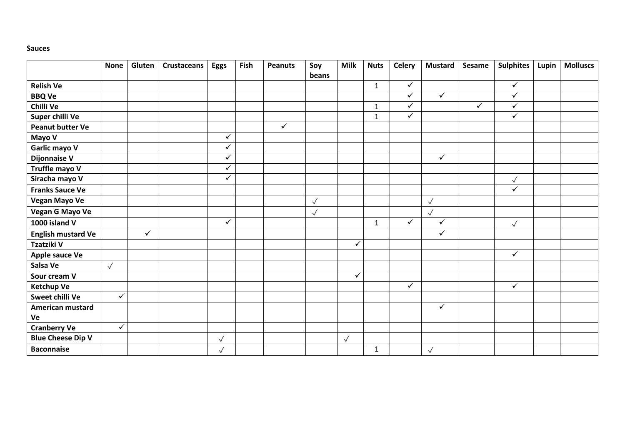#### **Sauces**

|                           | <b>None</b>  | Gluten       | <b>Crustaceans</b> | <b>Eggs</b>  | Fish | <b>Peanuts</b> | Soy          | <b>Milk</b>  | <b>Nuts</b>  | <b>Celery</b> | <b>Mustard</b> | <b>Sesame</b> | <b>Sulphites</b> | Lupin | <b>Molluscs</b> |
|---------------------------|--------------|--------------|--------------------|--------------|------|----------------|--------------|--------------|--------------|---------------|----------------|---------------|------------------|-------|-----------------|
|                           |              |              |                    |              |      |                | beans        |              |              |               |                |               |                  |       |                 |
| <b>Relish Ve</b>          |              |              |                    |              |      |                |              |              | $\mathbf{1}$ | $\checkmark$  |                |               | $\checkmark$     |       |                 |
| <b>BBQ Ve</b>             |              |              |                    |              |      |                |              |              |              | $\checkmark$  | $\checkmark$   |               | $\checkmark$     |       |                 |
| Chilli Ve                 |              |              |                    |              |      |                |              |              | $\mathbf{1}$ | ✓             |                | ✓             | $\checkmark$     |       |                 |
| Super chilli Ve           |              |              |                    |              |      |                |              |              | $\mathbf{1}$ | ✓             |                |               | $\checkmark$     |       |                 |
| <b>Peanut butter Ve</b>   |              |              |                    |              |      | $\checkmark$   |              |              |              |               |                |               |                  |       |                 |
| Mayo V                    |              |              |                    | $\checkmark$ |      |                |              |              |              |               |                |               |                  |       |                 |
| Garlic mayo V             |              |              |                    | $\checkmark$ |      |                |              |              |              |               |                |               |                  |       |                 |
| <b>Dijonnaise V</b>       |              |              |                    | ✓            |      |                |              |              |              |               | $\checkmark$   |               |                  |       |                 |
| Truffle mayo V            |              |              |                    | ✓            |      |                |              |              |              |               |                |               |                  |       |                 |
| Siracha mayo V            |              |              |                    | $\checkmark$ |      |                |              |              |              |               |                |               | $\checkmark$     |       |                 |
| <b>Franks Sauce Ve</b>    |              |              |                    |              |      |                |              |              |              |               |                |               | $\checkmark$     |       |                 |
| <b>Vegan Mayo Ve</b>      |              |              |                    |              |      |                | $\checkmark$ |              |              |               | $\checkmark$   |               |                  |       |                 |
| Vegan G Mayo Ve           |              |              |                    |              |      |                | $\checkmark$ |              |              |               | $\checkmark$   |               |                  |       |                 |
| 1000 island V             |              |              |                    | $\checkmark$ |      |                |              |              | $\mathbf{1}$ | ✓             | $\checkmark$   |               | $\checkmark$     |       |                 |
| <b>English mustard Ve</b> |              | $\checkmark$ |                    |              |      |                |              |              |              |               | $\sqrt{}$      |               |                  |       |                 |
| Tzatziki V                |              |              |                    |              |      |                |              | $\checkmark$ |              |               |                |               |                  |       |                 |
| Apple sauce Ve            |              |              |                    |              |      |                |              |              |              |               |                |               | $\checkmark$     |       |                 |
| Salsa Ve                  | $\checkmark$ |              |                    |              |      |                |              |              |              |               |                |               |                  |       |                 |
| Sour cream V              |              |              |                    |              |      |                |              | $\checkmark$ |              |               |                |               |                  |       |                 |
| <b>Ketchup Ve</b>         |              |              |                    |              |      |                |              |              |              | ✓             |                |               | $\checkmark$     |       |                 |
| Sweet chilli Ve           | $\checkmark$ |              |                    |              |      |                |              |              |              |               |                |               |                  |       |                 |
| <b>American mustard</b>   |              |              |                    |              |      |                |              |              |              |               | $\checkmark$   |               |                  |       |                 |
| Ve                        |              |              |                    |              |      |                |              |              |              |               |                |               |                  |       |                 |
| <b>Cranberry Ve</b>       | $\checkmark$ |              |                    |              |      |                |              |              |              |               |                |               |                  |       |                 |
| <b>Blue Cheese Dip V</b>  |              |              |                    | $\checkmark$ |      |                |              | $\checkmark$ |              |               |                |               |                  |       |                 |
| <b>Baconnaise</b>         |              |              |                    | $\checkmark$ |      |                |              |              | $\mathbf{1}$ |               | $\checkmark$   |               |                  |       |                 |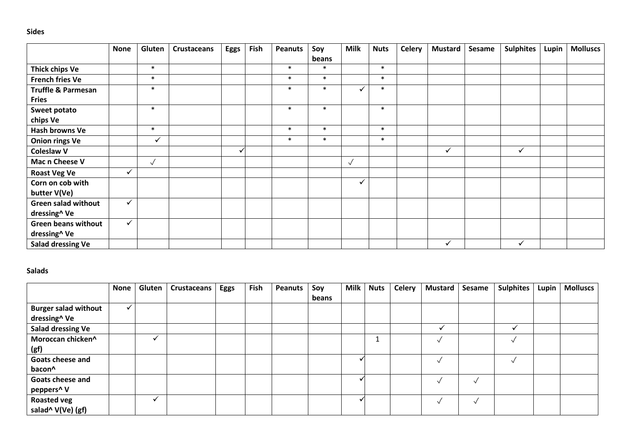### **Sides**

|                               | <b>None</b>  | Gluten       | <b>Crustaceans</b> | <b>Eggs</b> | Fish | <b>Peanuts</b> | Soy    | <b>Milk</b>  | <b>Nuts</b> | Celery | <b>Mustard</b> | Sesame | <b>Sulphites</b> | Lupin | <b>Molluscs</b> |
|-------------------------------|--------------|--------------|--------------------|-------------|------|----------------|--------|--------------|-------------|--------|----------------|--------|------------------|-------|-----------------|
|                               |              |              |                    |             |      |                | beans  |              |             |        |                |        |                  |       |                 |
| <b>Thick chips Ve</b>         |              | $\ast$       |                    |             |      | $\ast$         | $\ast$ |              | $\ast$      |        |                |        |                  |       |                 |
| <b>French fries Ve</b>        |              | $\ast$       |                    |             |      | $\ast$         | $\ast$ |              | $\ast$      |        |                |        |                  |       |                 |
| <b>Truffle &amp; Parmesan</b> |              | $\ast$       |                    |             |      | $\ast$         | $\ast$ | ✓            | $\ast$      |        |                |        |                  |       |                 |
| <b>Fries</b>                  |              |              |                    |             |      |                |        |              |             |        |                |        |                  |       |                 |
| Sweet potato                  |              | $\ast$       |                    |             |      | $\ast$         | $\ast$ |              | $\ast$      |        |                |        |                  |       |                 |
| chips Ve                      |              |              |                    |             |      |                |        |              |             |        |                |        |                  |       |                 |
| Hash browns Ve                |              | $\ast$       |                    |             |      | $\ast$         | $\ast$ |              | $\ast$      |        |                |        |                  |       |                 |
| <b>Onion rings Ve</b>         |              | $\checkmark$ |                    |             |      | $\ast$         | $\ast$ |              | $\ast$      |        |                |        |                  |       |                 |
| <b>Coleslaw V</b>             |              |              |                    |             |      |                |        |              |             |        | $\checkmark$   |        | $\checkmark$     |       |                 |
| Mac n Cheese V                |              | $\sqrt{}$    |                    |             |      |                |        | $\sqrt{}$    |             |        |                |        |                  |       |                 |
| <b>Roast Veg Ve</b>           | $\checkmark$ |              |                    |             |      |                |        |              |             |        |                |        |                  |       |                 |
| Corn on cob with              |              |              |                    |             |      |                |        | $\checkmark$ |             |        |                |        |                  |       |                 |
| butter V(Ve)                  |              |              |                    |             |      |                |        |              |             |        |                |        |                  |       |                 |
| <b>Green salad without</b>    | $\checkmark$ |              |                    |             |      |                |        |              |             |        |                |        |                  |       |                 |
| dressing^ Ve                  |              |              |                    |             |      |                |        |              |             |        |                |        |                  |       |                 |
| <b>Green beans without</b>    | $\checkmark$ |              |                    |             |      |                |        |              |             |        |                |        |                  |       |                 |
| dressing^ Ve                  |              |              |                    |             |      |                |        |              |             |        |                |        |                  |       |                 |
| Salad dressing Ve             |              |              |                    |             |      |                |        |              |             |        | $\checkmark$   |        | $\checkmark$     |       |                 |

#### **Salads**

|                             | <b>None</b> | Gluten       | <b>Crustaceans</b> | <b>Eggs</b> | Fish | <b>Peanuts</b> | Soy<br>beans | <b>Milk</b> | <b>Nuts</b> | <b>Celery</b> | <b>Mustard</b> | Sesame | <b>Sulphites</b> | Lupin | <b>Molluscs</b> |
|-----------------------------|-------------|--------------|--------------------|-------------|------|----------------|--------------|-------------|-------------|---------------|----------------|--------|------------------|-------|-----------------|
| <b>Burger salad without</b> |             |              |                    |             |      |                |              |             |             |               |                |        |                  |       |                 |
| dressing^ Ve                |             |              |                    |             |      |                |              |             |             |               |                |        |                  |       |                 |
| <b>Salad dressing Ve</b>    |             |              |                    |             |      |                |              |             |             |               |                |        |                  |       |                 |
| Moroccan chicken^           |             |              |                    |             |      |                |              |             |             |               | $\lambda$      |        |                  |       |                 |
| (gf)                        |             |              |                    |             |      |                |              |             |             |               |                |        |                  |       |                 |
| Goats cheese and            |             |              |                    |             |      |                |              |             |             |               | $\sqrt{ }$     |        |                  |       |                 |
| bacon <sup>^</sup>          |             |              |                    |             |      |                |              |             |             |               |                |        |                  |       |                 |
| Goats cheese and            |             |              |                    |             |      |                |              |             |             |               |                |        |                  |       |                 |
| peppers^ V                  |             |              |                    |             |      |                |              |             |             |               |                |        |                  |       |                 |
| <b>Roasted veg</b>          |             | $\checkmark$ |                    |             |      |                |              |             |             |               | $\sqrt{ }$     |        |                  |       |                 |
| salad^ V(Ve) (gf)           |             |              |                    |             |      |                |              |             |             |               |                |        |                  |       |                 |